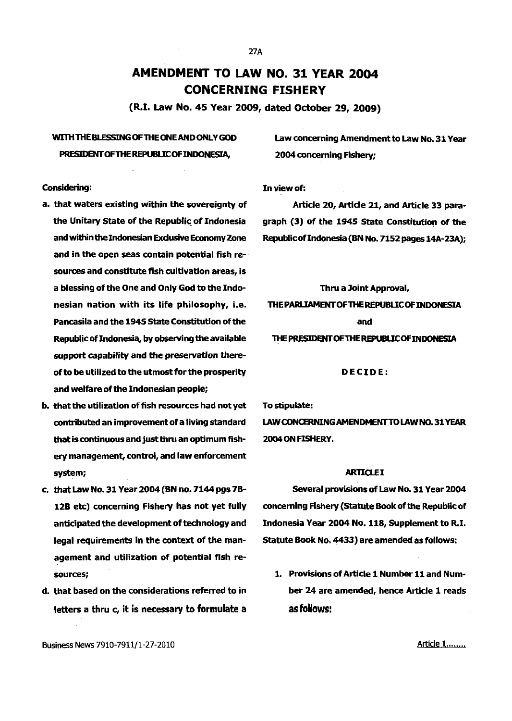# **AMENDMENT TO LAW NO. 31 YEAR 2004 CONCERNING FISHERY**

(R.I. Law No. 45 Year 2009, dated October 29, 2009)

# WITH THE BLESSING OF THE ONE AND ONLY GOD Law concerning Amendment to Law No. 31 Year PRESIDENT OF THE REPUBLIC OF INDONESIA, 2004 concerning Fishery;

Considering: In view of:

- and in the open seas contain potential fish resources and constitute fish cultivation areas, is a blessing of the One and Only God to the Indonesian nation with its life philosophy, i.e. Pancasila and the 1945 State Constitution of the Republic of Indonesia, by observing the available support capability and *the* preservation thereof to be utilized to the utmost for the prosperity and welfare of the Indonesian people;
- b. that the utilization of fish resources had not yet To stipulate: that is continuous and just thru an optimum fish- 2004 ON FISHERY. ery management, control, and law enforcement system; ARTICLE I
- agement and utilization of potential fish resources;
- d. that based on the considerations referred to in letters a thru c, it is necessary to formulate a

a. that waters existing within the sovereignty of **Article 20, Article 21, and Article 33 para**the Unitary State of the Republic of Indonesia graph (3) of the 1945 State Constitution of the and within the Indonesian Exclusive Economy Zone Republic of Indonesia (BN No. 7152 pages 14A-23A);

> Thru a Joint Approval, THE PARLIAMENTOFTHE REPUBLIC OF INDONESIA and THE PRESIDENT OF THE REPUBLIC OF INDONESIA

# DECIDE:

contributed an improvement of a living standard LAWCONCERNINGAMENDMENTTO LAW NO. 31 YEAR

c. that Law No. 31 Year 2004 (BN no. 7144 pgs 7B-Several provisions of Law No. 31 Year 2004 12B etc) concerning Fishery has not yet fully concerning Fishery (Statute Book of the Republic of anticipated the development of technology and Indonesia Year 2004 No. 118, Supplement to R.I. legal requirements in the context of the man- Statute Book No. 4433) are amended as follows:

> 1. Provisions of Article 1 Number 11 and Number 24 are amended, hence Article 1 reads as follows:

Business News 7910-7911/1-27-2010

Ar<u>ticle 1........</u>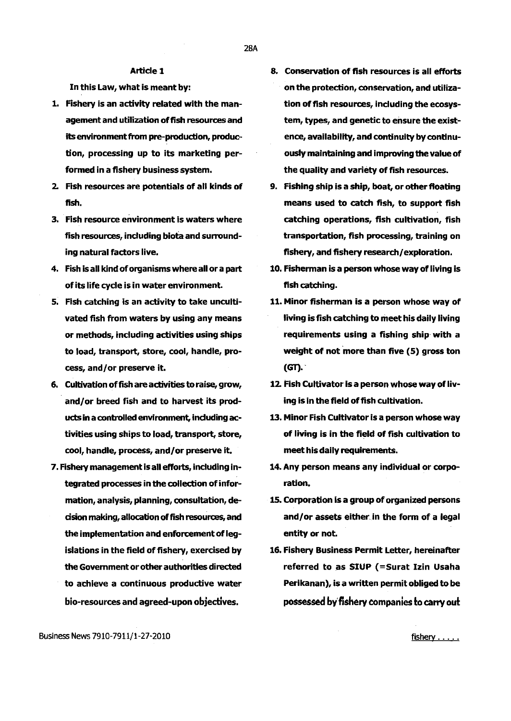#### Article 1

In this Law, what is meant by:

- 1. Fishery is an activity related with the management and utilization of fish resources and its environment from pre-production, production, processing up to its marketing performed in a fishery business system.
- 2. Fish resources are potentials of all kinds of fish.
- 3. Fish resource environment is waters where fish resources, including biota and surrounding natural factors live.
- 4. Fish is all kind of organisms where all or a part of its life cycle is in water environment.
- 5. Fish catching is an activity to take uncultivated fish from waters by using any means or methods, including activities using ships to load, transport, store, cool, handle, process, and/or preserve it.
- 6. Cultivation offish are activities to raise, grow, and/or breed fish and to harvest its products in a controlled environment, induding activities using ships to load, transport, store, cool, handle, process, and/or preserve it.
- 7. Fishery management is all efforts, including integrated processes in the collection of information, analysis, planning, consultation, decision making, allocation of fish resources, and the implementation and enforcement of legislations in the field of fishery, exercised by the Government or other authorities directed to achieve a continuous productive water bio-resources and agreed-upon objectives.
- 8. Conservation of fish resources is all efforts on the protection, conservation, and utilization of fish resources, including the ecosystem, types, and genetic to ensure the existence, availability, and continuity by continuously maintaining and improving the value of the quality and variety of fish resources.
- 9. Fishing ship is a ship, boat, or other floating means used to catch fish, to support fish catching operations, fish cultivation, fish transportation, fish processing, training on fishery, and fishery research/ exploration.
- 10. Fisherman is a person whose way of living is fish catching.
- 11. Minor fisherman is a person whose way of living is fish catching to meet his daily living requirements using a fishing ship with a weight of not more than five (5) gross ton  $(GT)$ .
- 12. Fish Cultivator is a person whose way of living is in the field of fish cultivation.
- 13. Minor Fish Cultivator is a person whose way of living is in the field of fish cultivation to meet his daily requirements.
- 14. Any person means any individual or corporation.
- 15. Corporation is a group of organized persons and/or assets either.in the form of a legal entity or not.
- 16. Fishery Business Permit Letter, hereinafter referred to as SIUP (=Surat Izin Usaha Perikanan), is a written permit obliged to be possessed by' fishery companies to carry out

Business News 7910-7911/1-27-2010

fishery ......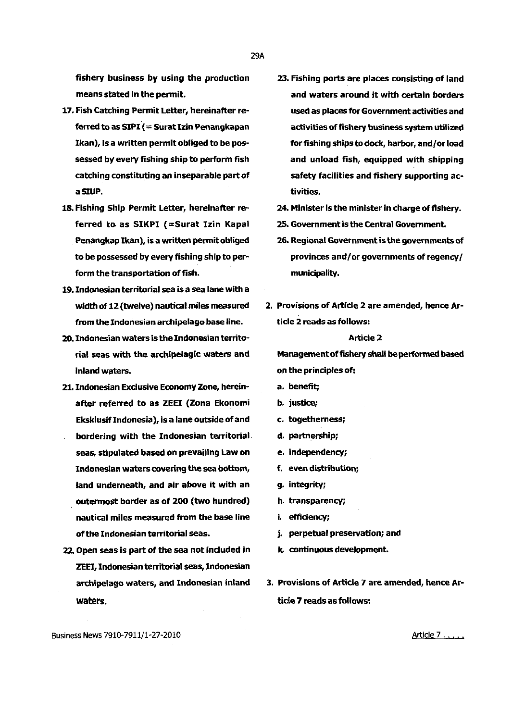fishery business by using the production means stated in the permit.

- 17. Fish Catching Permit Letter, hereinafter referred to as SIPI ( $=$  Surat Izin Penangkapan Ikan), is a written permit obliged to be possessed by every fishing ship to perform fish catching constituting an inseparable part of aSIUP.
- 18. Fishing Ship Permit Letter, hereinafter referred to as SIKPI (=Surat Izin Kapal Penangkap Ikan), is a written permit obliged to be possessed by every fishing ship to perform the transportation of fish.
- 19. Indonesian territorial sea is a sea lane with a width of 12 (twelve) nautical miles measured from the Indonesian archipelago base line.
- 20. Indonesian waters is the Indonesian territorial seas with the archipelagic waters and inland waters.
- 21. Indonesian Exdusive Economy Zone, hereinafter referred to as ZEEI {Zona Ekonomi Eksklusiflndonesia), is a lane outside of and bordering with the Indonesian territorial seas, stipulated based on prevailing Law on Indonesian waters covering the sea bottom, land underneath, and air above it with an outermost border as of 200 (two hundred} nautical miles measured from the base line of the Indonesian territorial seas.
- 22 Open seas is part of the sea not included in ZEEI, Indonesian territorial seas, Indonesian archipelago waters, and Indonesian inland waters.
- 23. Fishing ports are places consisting of land and waters around it with certain borders used as places for Government activities and activities of fishery business system utilized for fishing ships to dock, harbor, and/or load and unload fish, equipped with shipping safety facilities and fishery supporting activities.
- 24. Minister is the minister in charge of fishery.
- 25. Government is the Central Government.
- 26. Regional Government is the governments of provinces and/or governments of regency/ municipality.
- 2. Provisions of Article 2 are amended, hence Article 2 reads as follows:

#### Article 2

Management of fishery shall be performed based on the principles of:

- a. benefit;
- b. justice;
- c. togetherness;
- d. partnership;
- e. independency;
- f. even distribution;
- g. integrity;
- h. transparency;
- i. efficiency;
- j. perpetual preservation; and
- k. continuous development.
- 3. Provisions of Article 7 are amended, hence Article 7 reads as follows:

Business News 7910-7911/1-27-2010

Article 7 . . . . . .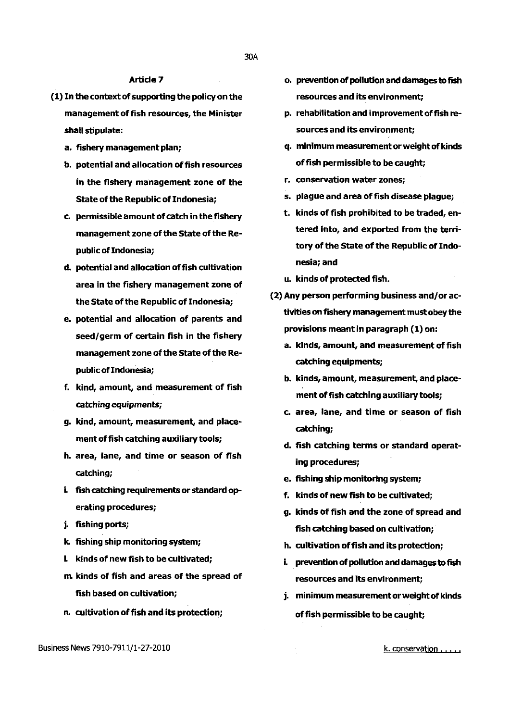# Article 7

- (1) In the context of supporting the policy on the management of fish resources, the Minister shall stipulate:
	- a. fishery management plan;
	- b. potential and allocation of fish resources in the fishery management zone of the State of the Republic of Indonesia;
	- c. permissible amount of catch in the fishery management zone of the State of the Republic of Indonesia;
	- d. potential and allocation of fish cultivation area in the fishery management zone of the State of the Republic of Indonesia;
	- e. potential and allocation of parents and seed/germ of certain fish in the fishery management zone of the State of the Republic of Indonesia;
	- f. kind, amount, and measurement of fish catching equipments;
	- g. kind, amount, measurement, and placement of fish catching auxiliary tools;
	- h. area, lane, and time or season of fish catching;
	- i. fish catching requirements or standard operating procedures;
	- j. fishing ports;
	- k. fishing ship monitoring system;
	- I. kinds of new fish to be cultivated;
	- m kinds of fish and areas of the spread of fish based on cultivation;
	- n. cultivation of fish and its protection;
- Business News 7910-7911/1-27-2010
- o. prevention of pollution and damages to fish resources and its environment;
- p. rehabilitation and improvement of fish resources and its environment;
- q. minimum measurement or weight of kinds offish permissible to be caught;
- r. conservation water zones;
- s. plague and area of fish disease plague;
- t. kinds of fish prohibited to be traded, entered into, and exported from the territory of the State of the Republic of Indonesia; and
- u. kinds of protected fish.
- (2) Any person performing business and/or activities on fishery management must obey the provisions meant in paragraph (1) on:
	- a. kinds, amount, and measurement of fish catching equipments;
	- b. kinds, amount, measurement, and placement of fish catching auxiliary tools;
	- c. area, lane, and time or season of fish catching;
	- d. fish catching terms or standard operating procedures;
	- e. fishing ship monitoring system;
	- f. kinds of new fish to be cultivated;
	- g. kinds of fish and the zone of spread and fish catching based on cultivation;
	- h. cultivation offish and its protection;
	- i. prevention of pollution and damages to fish resources and its environment;
	- j. minimum measurement or weight of kinds of fish permissible to be caught;

k. conservation .....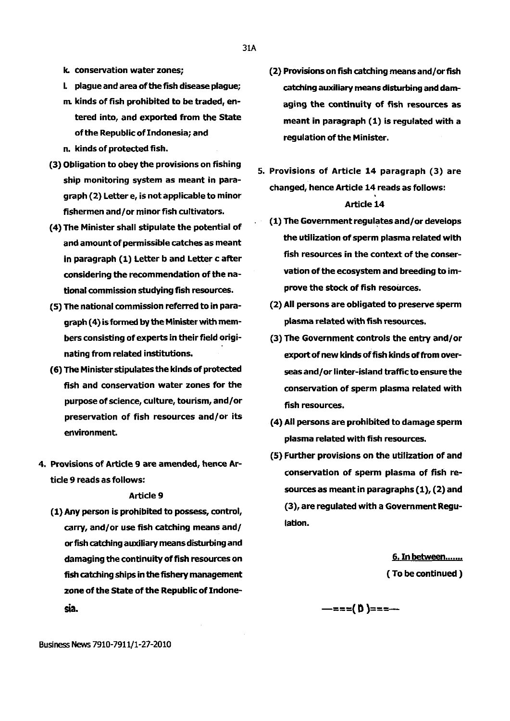- I. plague and area of the fish disease plague;
- m. kinds of fish prohibited to be traded, entered into, and exported from the State of the Republic of Indonesia; and
- n. kinds of protected fish.
- (3) Obligation to obey the provisions on fishing ship monitoring system as meant in paragraph (2) Letter e, is not applicable to minor fishermen and/ or minor fish cultivators.
- ( 4) The Minister shall stipulate the potential of and amount of permissible catches as meant in paragraph (1) Letter band Letter c after considering the recommendation of the national commission studying fish resources.
- (5) The national commission referred to in paragraph ( 4) is formed by the Minister with members consisting of experts in their field originating from related institutions.
- (6) The Minister stipulates the kinds of protected fish and conservation water zones for the purpose of science, culture, tourism, and/or preservation of fish resources and/or its environment.
- 4. Provisions of Article 9 are amended, hence Article 9 reads as follows:

#### Article 9

(1) Any person is prohibited to possess, control, carry, and/ or use fish catching means and/ or fish catching auxiliary means disturbing and damaging the continuity of fish resources on fish catching ships in the fishery management zone of the State of the Republic of Indonesia.

(2) Provisions on fish catching means and/or fish catching auxiliary means disturbing and damaging the continuity of fish resources as meant in paragraph (1) is regulated with a

regulation of the Minister.

- 5. Provisions of Article 14 paragraph (3) are changed, hence Article 14 reads as follows: Article 14
	- (1) The Government regulates and/or develops the utilization of sperm plasma related with fish resources in the context of the conservation of the ecosystem and breeding to improve the stock of fish resources.
	- (2) All persons are obligated to preserve sperm plasma related with fish resources.
	- (3) The Government controls the entry and/or export of new kinds of fish kinds of from overseas and/or linter-island traffic to ensure the conservation of sperm plasma related with fish resources.
	- ( 4) All persons are prohibited to damage sperm plasma related with fish resources.
	- (5) Further provisions on the utilization of and conservation of sperm plasma of fish resources as meant in paragraphs (1), (2) and (3), are regulated with a Government Regulation.

6. In between....... ( To be continued )

 $-$ ===(  $D$  )===--

31A

Business News 7910-7911/1-27-2010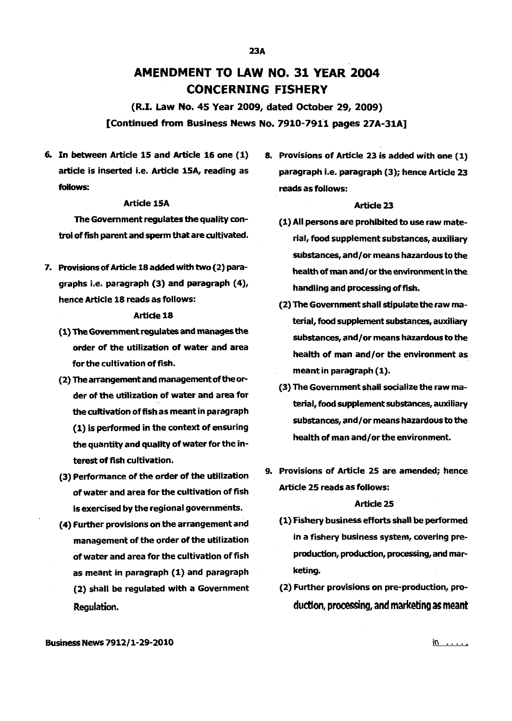# AMENDMENT TO LAW NO. 31 YEAR 2004 CONCERNING FISHERY

(R.I. Law No. 45 Year 2009, dated October 29, 2009) [Continued from Business News No. 7910-7911 pages 27A-31A]

6. In between Article 15 and Article 16 one ( 1) article is inserted i.e. Article 15A, reading as follows:

# Article 15A

The Government regulates the quality control of fish parent and sperm that are cultivated.

7. Provisions of Article 18 added with two (2) paragraphs i.e. paragraph (3) and paragraph ( 4), hence Article 18 reads as follows:

# Article 18

- (1) The Government regulates and manages the order of the utilization of water and area for the cultivation of fish.
- (2) The arrangement and management of the order of the utilization of water and area for the cultivation of fish as meant in paragraph (1) is performed in the context of ensuring the quantity and quality of water for the interest of fish cultivation.
- (3) Performance of the order of the utilization of water and area for the cultivation of fish is exercised by the regional governments.
- ( 4) Further provisions on the arrangement and management of the order of the utilization of water and area for the cultivation of fish as meant in paragraph (1) and paragraph (2} shall be regulated with a Government Regulation.

8. Provisions of Article 23 is added with one (1} paragraph i.e. paragraph (3}; hence Article 23 reads as follows:

### Article 23

- (1) All persons are prohibited to use raw material, food supplement substances, auxiliary substances, and/or means hazardous to the health of man and/or the environment in the handling and processing of fish.
- (2} The Government shall stipulate the raw material, food supplement substances, auxiliary substances, and/or means hazardous to the health of man and/or the environment as meant in paragraph (1).
- (3) The Government shall socialize the raw material, food supplement substances, auxiliary substances, and/ or means hazardous to the health of man and/or the environment.
- 9. Provisions of Article 25 are amended; hence Article 25 reads as follows:

#### Article 25

- (1} Fishery business efforts shall be performed in a fishery business system, covering preproduction, production, processing, and marketing.
- (2) Further provisions on pre-production, production, processing, and marketing as meant

Business News 7912/ 1-29-2010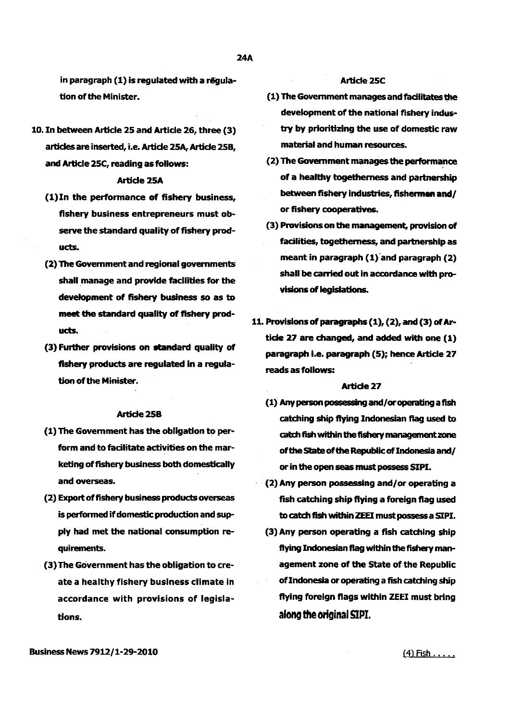in paragraph (1) is regulated with a regulation of the Minister.

10. In between Article 25 and Article 26, three (3) articles are inserted, i.e. Artide 25A, Article 258, and Article 25C, reading as follows:

#### **Article 25A**

- (1)In the performance of fishery business, fishery business entrepreneurs must observe the standard quality of fishery products.
- (2) The Government and regional governments shall manage and provide facilities for the development of fishery business so as to meet the standard quality of fishery products.
- (3) Further provisions on standard quality of fishery products are regulated in a regulation of the Minister.

#### Artide25B

- (1) The Government has the obligation to perform and to facilitate activities on the marketing of fishery business both domestically and overseas.
- (2) Export of fishery business products overseas is performed if domestic production and supply had met the national consumption requirements.
- (3) The Government has the obligation to create a healthy fishery business climate in accordance with provisions of legislations.

# Article 25C

- (1) The Government manages and fadlitates the development of the national fishery industry by prioritizing the use of domestic raw material and human resources.
- (2) The Government manages the performance of a healthy togetherness and partnership between fishery industries, flshennen and/ or fishery cooperatives.
- (3) Provisions on the management, provision of facilities, togetherness, and partnership as meant in paragraph  $(1)$  and paragraph  $(2)$ shall be carried out in accordance with provisions of legislations.
- 11. Provisions of paragraphs  $(1)$ ,  $(2)$ , and  $(3)$  of Artide 27 are changed, and added with one (1) paragraph i.e. paragraph (5); hence Article 27 reads as follows:

#### Article<sub>27</sub>

- $(1)$  Any person possessing and/ or operating a fish catching ship flying Indonesian flag used to catch fish within the fishery management zone of the state of the Republic of Indonesia and/ or in the open seas must possess SIPI.
- $\cdot$  (2) Any person possessing and/or operating a fish catching ship flying a foreign flag used to catch fish within ZEEI must possess a SIPI.
	- (3) Any person operating a fish catching ship flying Indonesian flag within the fishery management zone of the State of the Republic of Indonesia or operating a fish catching ship flying foreign flags within ZEEI must bring along the original SIPI.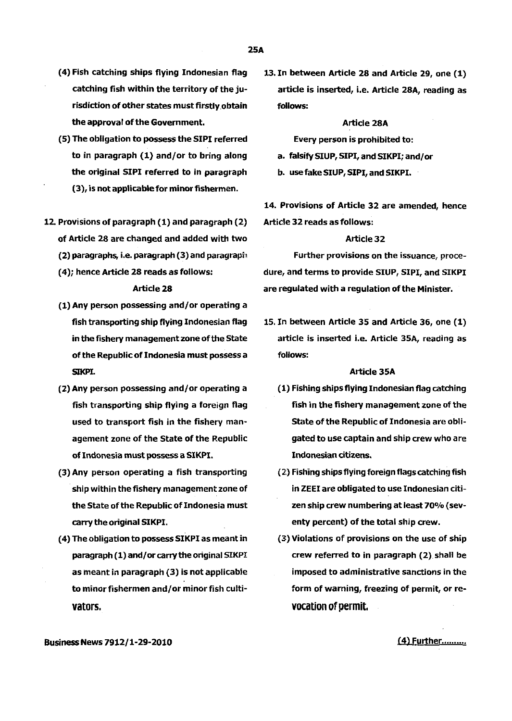- (4) Fish catching ships flying Indonesian flag catching fish within the territory of the jurisdiction of other states must firstly obtain the approval of the Government.
- (5) The obligation to possess the SIPI referred to in paragraph (1) and/or to bring along the original SIPI referred to in paragraph (3), is not applicable for minor fishermen.
- 12. Provisions of paragraph (1) and paragraph (2) of Article 28 are changed and added with two (2) paragraphs, i.e. paragraph (3) and paragraph
	- ( 4); hence Article 28 reads as follows:

#### Article 28

- (1) Any person possessing and/or operating a fish transporting ship flying Indonesian flag in the fishery management zone of the State of the Republic of Indonesia must possess a SIKPI.
- (2) Any person possessing and/or operating a fish transporting ship flying a foreign flag used to transport fish in the fishery management zone of the State of the Republic of Indonesia must possess a SIKPI.
- (3) Any person operating a fish transporting ship within the fishery management zone of the State of the Republic of Indonesia must carry the original SIKPI.
- (4) The obligation to possess SIKPI as meant in paragraph (1) and/ or carry the original SIKPI as meant in paragraph (3) is not applicable to minor fishermen and/or minor fish cultivators.

13. In between Article 28 and Article 29, one (1) article is inserted, i.e. Article 28A, reading as fOllows:

#### Article 28A

Every person is prohibited to:

- a. falsify SIUP, SIPI, and SIKPI; and/or
- b. use fake SIUP, SIPI, and SIKPI.

14. Provisions of Article 32 are amended, hence Article 32 reads as follows:

### Article32

Further provisions on the issuance, procedure, and terms to provide SIUP, SIPI, and SIKPI are regulated with a regulation of the Minister.

15. In between Article 35 and Article 36, one (1) article is inserted i.e. Article 35A, reading as fOllows:

#### Article 35A

- (1) Fishing ships flying Indonesian flag catching fish in the fishery management zone of the State of the Republic of Indonesia are obligated to use captain and ship crew who are Indonesian citizens.
- (2.) Fishing ships flying foreign flags catching fish in ZEEI are obligated to use Indonesian citizen ship crew numbering at least 700/o (seventy percent) of the total ship crew.
- (3) Violations of provisions on the use of ship crew referred to in paragraph (2) shall be imposed to administrative sanctions in the form of warning, freezing of permit, or revocation of permit.

BusinessNews7912/l-29-2010

(4) Further..........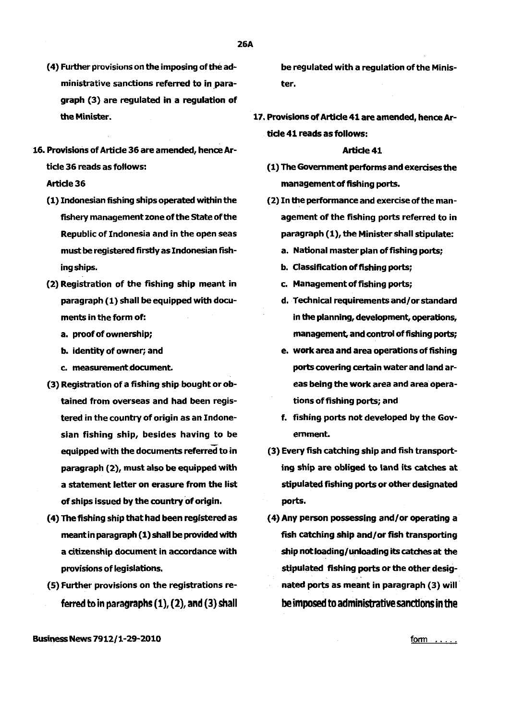- ( 4) Further provisions on the imposing of the administrative sanctions referred to in paragraph (3) are regulated in a regulation of the Minister.
- 16. Provisions of Article 36 are amended, hence Article 36 reads as follows:

# Article 36

- ( 1) Indonesian fishing ships operated within the fishery management zone of the state of the Republic of Indonesia and in the open seas must be registered firstly as Indonesian fishing ships.
- (2) Registration of the fishing ship meant in paragraph (1) shall be equipped with documents in the form of:
	- a. proof of ownership;
	- b. identity of owner; and
	- c. measurement.document.
- (3) Registration of a fishing ship bought or obtained from overseas and had been registered in the country of origin as an Indonesian fishing ship, besides having to be equipped with the documents referred to in paragraph (2), must also be equipped with a statement letter on erasure from the list of ships issued by the country of origin.
- ( 4) The fishing ship that had been registered as meant in paragraph (1) shall be provided with a citizenship document in accordance with provisions of legislations.
- (5) Further provisions on the registrations referred to in paragraphs  $(1)$ ,  $(2)$ , and  $(3)$  shall

be regulated with a regulation of the Minister.

17. Provisions of Article 41 are amended, hence Article 41 reads as follows:

# Article 41

- (1) The Government performs and exercises the management of fishing ports.
- (2) In the performance and exercise of the management of the fishing ports referred to in paragraph (1), the Minister shall stipulate:
	- a. National master plan of fishing ports;
	- b. Classification of fishing ports;
	- c. Management of fishing ports;
	- d. Technical requirements and/ or standard in the planning, development, operations, management, and control of fishing ports;
	- e. work area and area operations of fishing ports covering certain water and land areas being the work area and area operations of fishing ports; and
	- f. fishing ports not developed by the Govemment.
- (3) Every fish catching ship and fish transporting ship are obliged to land its catches at stipulated fishing ports or other designated ports.
- ( 4) Any person possessing and/or operating a fish catching ship and/or fish transporting ship not loading/unloading its catches at the stipulated fishing ports or the other designated ports as meant in paragraph (3) will be imposed to administrative sanctions in the

Business News 7912/1-29-2010

f<u>orm</u> .....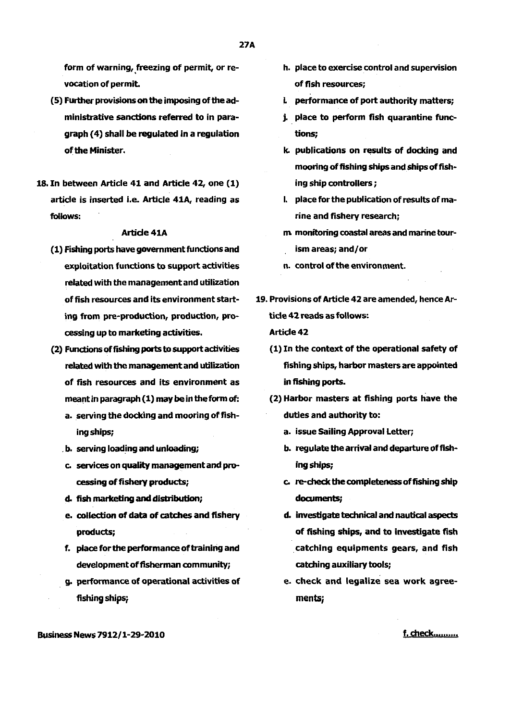form of warning, freezing of permit, or revocation of permit.

- (5) Further provisions on the imposing of the administrative sanctions referred to in paragraph ( 4) shall be regulated in a regulation of the Minister.
- 18. In between Article 41 and Article 42, one (1) article is inserted i.e. Article 41A, reading as follows:

# Artide 41A

- (1) Fishing ports have government functions and exploitation functions to support activities related with the management and utilization of fish resources and its environment starting from pre-production, production, processing up to marketing activities.
- (2) Functions of fishing ports to support activities related with the management and utilization of fish resources and its environment as meant in paragraph (1) may be in the form of:
	- a. serving the docking and mooring of fishing ships;
	- . b. serving loading and unloading;
	- c. services on quality management and processing of fishery products;
	- d. fish marketing and disbibution;
	- e. collection of data of catches and fishery products;
	- f. place for the performance of training and development of fisherman community;
	- . g. performance of operational activities of fishing ships;
- h. place to exercise control and supervision of fish resources;
- L performance of port authority matters;
- j. place to perform fish quarantine functions;
- k. publications on results of docking and mooring of fishing ships and ships of fishing ship controllers;
- I. place for the publication of results of marine and fishery research;
- m monitoring coastal areas and marine tourism areas; and/or
- n. control of the environment.
- 19. Provisions of Article 42 are amended, hence Article 42 reads as follows: Article 42
	- ( 1) In the context of the operational safety of fishing ships, harbor masters are appointed in fishing ports.
	- (2) Harbor masters at fishing ports have the duties and authority to:
		- a. issue Sailing Approval Letter;
		- b. regulate the arrival and departure of fishing ships;
		- c. re-check the completeness of fishing ship documents;
		- d. investigate technical and nautical aspects of fishing ships, and to investigate fish . catching equipments gears, and fish catching auxiliary tools;
		- e. check and legalize sea work agreement5;

f. check..........

Business News 7912/1-29-2010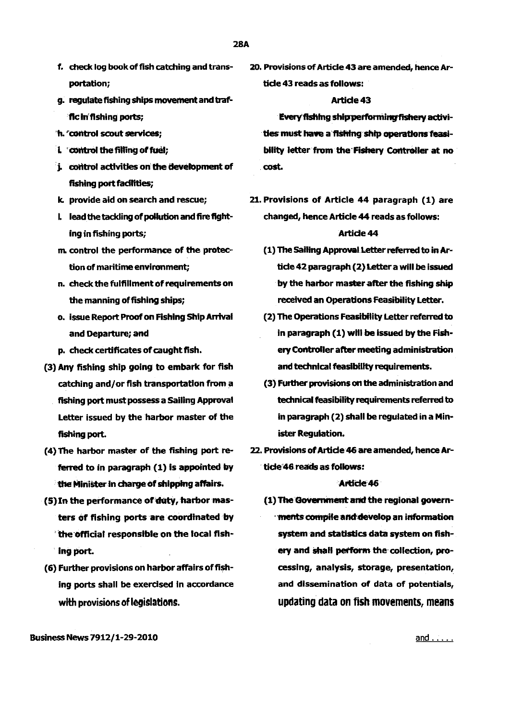- 28A
- f. check log book of fish catching and transportation;
- g. regulate fishing ships movement and traffic In' fishing ports;
- h. 'control scout senrices;
- i. control the filling of fuel;
- i. control activities on the development of fishing port facilities;
- k. provide aid on search and rescue;
- L lead the tackling of pollution and fire fighting in fishing ports;
- m control the performance of the protection of maritime environment;
- n. check the fulfillment of requirements on the manning of fishing ships;
- o. issue Report Proof on Fishing Ship Arrival and Departure; and
- p. check certificates of caught fish.
- {3) Any fishing ship going to embark for fish catching and/or fish transportation from a fishing port must possess a Sailing Approval Letter issued by the harbor master of the fishing port.
- ( 4) The harbor master of the fishing port referred to in paragraph (1) is appointed by the Minister ln charge of shipping affairs.
- (5) In the performance of duty, harbor masters of fishing ports are coordinated by 'the official responsible on the local fish-. Ing port.
- {6) Further provisions on harbor affairs of fishing ports shall be exercised in accordance with provisions of legislations.

20. Provisions of Article 43 are amended, hence Article 43 reads as follows:

# Article 43

Every fishing ship performing fishery activities must have a fishing ship operations feasibility letter from the· Fishery Controller at no . cost.

- 21. Provisions of Article 44 paragraph {1) are changed, hence Article 44 reads as follows: Article 44
	- (1) The Sailing Approval Letter referred to in Article 42 paragraph (2) Letter a will be issued by the harbor master after the fishing ship received an Operations Feasibility Letter.
	- (2) The Operations Feasibility Letter refernd to in paragraph ( 1) will be issued by the Fishery Controller after meeting administration and technical feasibility requirements.
	- (3) Further provisions on the administration and technical feasibility requirements referred to in paragraph (2) shall be regulated in a Minister Regulation.
- 22. Provisions of Article 46 are amended, hence Article'46 reads as follows:

# Article 46

(1) The Government and the regional governments compile and develop an information system and statistics data system on fishery and shall perform the collection, processing, analysis, storage, presentation, and dissemination of data of potentials, updating data on fish movements, means

Business News 7912/1-29-2010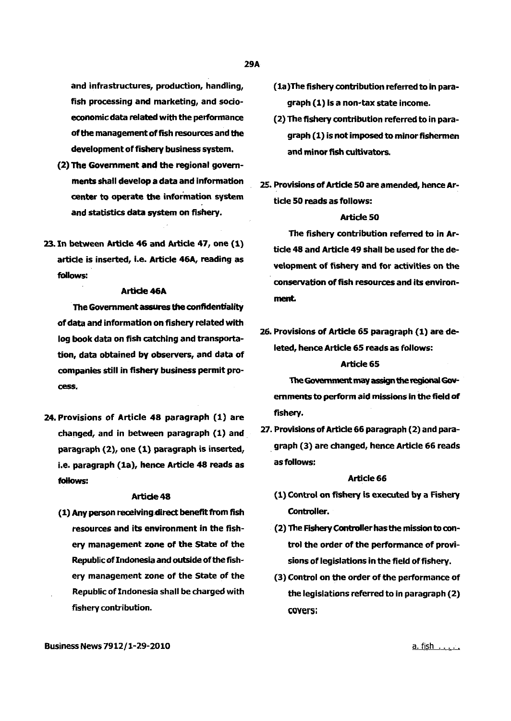and infrastructures, production, handling, fish processing and marketing, and socioeconomic data related with the performance of the management of fish resources and the development of fishery business system.

- (2) The Govemment and the regional govemments shall develop a data and information center to operate the information system and statistics data system on fishery.
- 23. In between Article 46 and Article 47, one (1) article is inserted, i.e. Article 46A, reading as fOllows:

#### **Article 46A**

The Govemment assures the confidentiality of data and information on fishery related with log book data on fish catching and transportation, data obtained by observers, and data of companies still in fishery business permit process.

24. Provisions of Article 48 paragraph (1) are changed, and in between paragraph (1) and . paragraph {2), one {1) paragraph is inserted, i.e. paragraph (1a), hence Article 48 reads as follows:

#### Article 48

(1) Any person receiving direct benefit from fish resources and its environment in the fishery management zone of the State of the Republic of Indonesia and outside of the fishery management zone of the State of the Republic of Indonesia shall be charged with fishery contribution.

- (la}The fishery contribution referred to in paragraph (1) Is a non-tax state income.
- (2) The fishery contribution referred to in paragraph (1) is not imposed to minor fishermen and minor fish cultivators.
- 25. Provisions of Article 50 are amended, hence Artide SO reads as follows:

#### Article SO

The fishery contribution referred to in Article 48 and Article 49 shall be used for the development of fishery and for activities on the conservation of fish resources and its environment.

26. Provisions of Article 6S paragraph (1) are deleted, hence Article 6S reads as follows:

### Article 6S

TheGovemment may assign the regional Govemments to perform aid missions in the field of fishery.

27. Provisions of Article 66 paragraph (2) and para- . graph (3) are changed, hence Article 66 reads as follows:

#### Article 66

- (1) Control on fishery is executed by a Fishery Controller.
- (2) The Fishery Controller has the mission to control the order of the performance of provisions of legislations in the field of fishery.
- (3) Control on the order of the performance of the legislations referred to in paragraph (2) covers: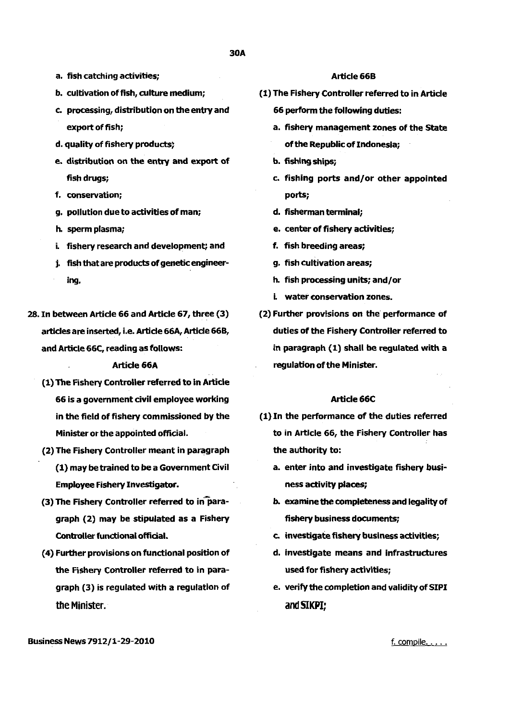- a. fish catching activities;
- b. cultivation of fish, culture medium:
- c. processing, distribution on the entry and export of fish;
- d. quality of fishery products;
- e. distribution on the entry and export of fish drugs;
- f. conservation;
- g. pollution due to activities of man;
- h. sperm plasma;
- i. fishery research and development; and
- j. fish that are products of genetic engineering.
- 28. In between Article 66 and Article 67, three (3) articles are inserted, i.e. Article 66A, Article 66B, and Article 66C, reading as follows:

#### Article 66A

- (1) The Fishery controller referred to in Article 66 is a government civil employee working in the field of fishery commissioned by the Minister or the appointed official.
- (2) The Fishery Controller meant in paragraph (1) may be trained to be a Government Civil Employee Fishery Investigator.
- (3) The Fishery Controller referred to in paragraph (2) may be stipulated as a Fishery Controller functional official.
- ( 4) Further provisions on functional position of the Fishery Controller referred to in paragraph (3) is regulated with a regulation of the Minister.

# Article 66B

- (1) The Fishery Controller referred to in Article 66 perform the following duties:
	- a. fishery management zones of the State of the Republic of Indonesia;
	- b. fishing ships;
	- c. fishing ports and/or other appointed ports;
	- d. fisherman terminal;
	- e. center of fishery activities;
	- f. fish breeding areas;
	- g. fish cultivation areas;
	- h. fish processing units; and/or
	- i. water conservation zones.
- (2) Further provisions on the performance of duties of the Fishery Controller referred to in paragraph (1) shall be regulated with a regulation of the Minister.

#### Article 66C

- (1) In the performance of the duties referred *to* in Article 66, the Fishery Controller has the authority to:
	- a. enter into and investigate fishery business activity places;
	- b. examine the completeness and legality of fishery business documents;
	- c. investigate fishery business activities;
	- d. investigate means and infrastructures used for fishery activities;
	- e. verify the completion and validity of SIPI and SIKPI:

BusinessNews7912/1-29-2010

f. compile.....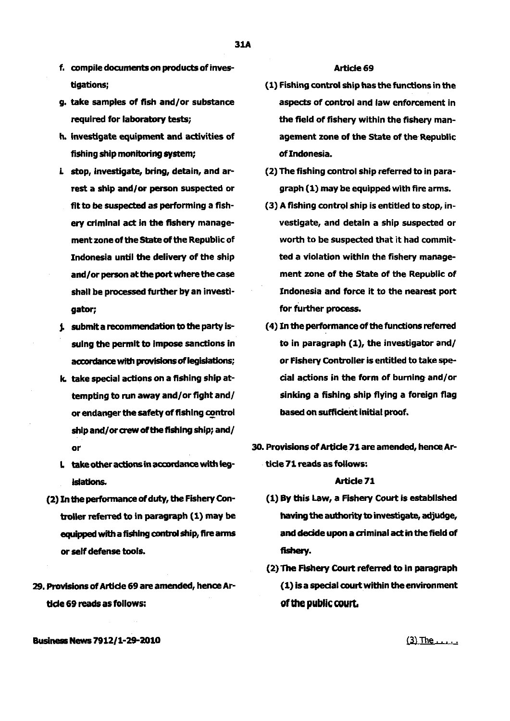- f, compile documents on products of investigations;
- g. take samples of fish and/or substance required for laboratory tests;
- h. investigate equipment and activities of fishing ship monitoring system;
- i stop, investigate, bring, detain, and arrest a ship and/or person suspected or flt to be suspected as performing a fishery criminal act in the fishery management zone of the State of the Republic of Indonesia until the delivery of the ship and/or person at the port where the case shall be processed further by an investigator;
- **j.** submit a recommendation to the party issuing the permit to impose sanctions in accordance with provisions of legislations;
- k. take special actions on a fishing ship attempting to run away and/or fight and/ or endanger the safety of fishing control ship and/or crew of the fishing ship; and/ or
- $L$  take other actions in accordance with legislations.
- (2) In the performance of duty, the Fishery Controller referred to in paragraph (1) may be equipped with a fishing control ship, fire arms or self defense tools.
- 29. Provisions of Artide 6g are amended, hence Artide 69 reads as follows:

#### Article 69

- ( 1) Fishing control ship has the functions in the aspects of control and law enforcement in the field of fishery within the fishery management zone of the state of the Republic of Indonesia.
- (2) The fishing control ship referred to in paragraph (1) may be equipped with fire arms.
- $(3)$  A fishing control ship is entitled to stop, investigate, and detain a ship suspected or worth to be suspected that it had committed a violation within the fishery management zone of the state of the Republic of Indonesia and force it to the nearest port for further process.
- ( 4) In the performance of the functions referred to in paragraph (1), the investigator and/ or Fishery Controller is entitled to take special actions in the form of burning and/or sinking a fishing ship flying a foreign flag based on sufficient initial proof.
- 30. Provisions of Artide 71 are amended, hence Ar- . ticle 71 reads as follows:

# Article<sub>71</sub>

- (1) By this Law, a Fishery Court is established having the authority to investigate, adjudge, and dedde upon a criminal act in the field of fishery.
- (2) The Fishery Court referred to in paragraph (1) is a special court within the environment of the public court.

Business News 7912/1-29-2010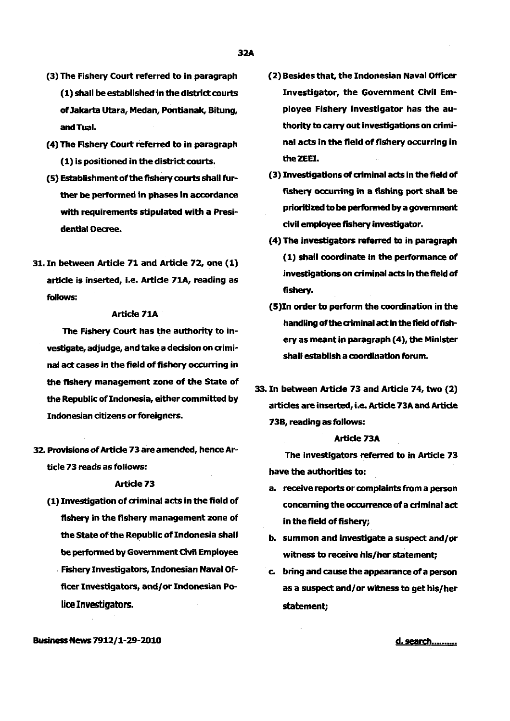- (3) The Fishery Court referred to in paragraph  $(1)$  shall be established in the district courts of Jakarta Utara, Medan, Pontianak, Bitung, and Tuai.
- (4) The Fishery Court referred to in paragraph (1) is positioned in the district courts.
- (5) Establishment of the fishery courts shall further be performed in phases in accordance with requirements stipulated with a Presi· dential Decree.
- 31. In between Article 71 and Article 72, one (1) article is inserted, i.e. Article 71A, reading as follows:

### Article 71A

The Fishery Court has the authority to in· vestigate, adjudge, and take a decision on criminal act cases in the field of fishery occurring in the fishery management zone of the State of the Republic of Indonesia, either committed by Indonesian citizens or foreigners.

32. Provisions of Article 73 are amended, hence Ar· ticle 73 reads as follows:

#### Article 73

(1) Investigation of criminal acts in the field of fishery in the fishery management zone of the State of the Republic of Indonesia shall be performed by Government Civil Employee Fishery Investigators, Indonesian Naval Of· ficer Investigators, and/or Indonesian Police Investigators.

- (2) Besides that, the Indonesian Naval Officer Investigator, the Government Civil Em· ployee Fishery investigator has the au· thority to carry out investigations on criminal acts in the field of fishery occurring in theZEEI.
- (3) Investigations of criminal acts in the field of fishery occurring in a fishing port shall be prioritized to be performed by a government dvil employee fishery investigator.
- ( 4) The investigators referred to in paragraph (1) shall coordinate in the performance of investigations on criminal acts in the field of fishery.
- (S)In order to perform the coordination in the handling of the criminal act in the field of fish· ery as meant in paragraph (4), the Minister shall establish a coordination forum.
- 33. In between Article 73 and Article 74, two (2) articles are inserted, i.e. Article 73A and Article 738, reading as follows:

#### Article 73A

The investigators referred to in Article 73 have the authorities to:

- a. receive reports or complaints from a person concerning the occurrence of a criminal act in the field of fishery;
- b. summon and investigate a suspect and/or witness to receive his/her statement;
- c. bring and cause the appearance of a person as a suspect and/or witness to get his/her statement;

# Business News 7912/1-29-2010

d. search..........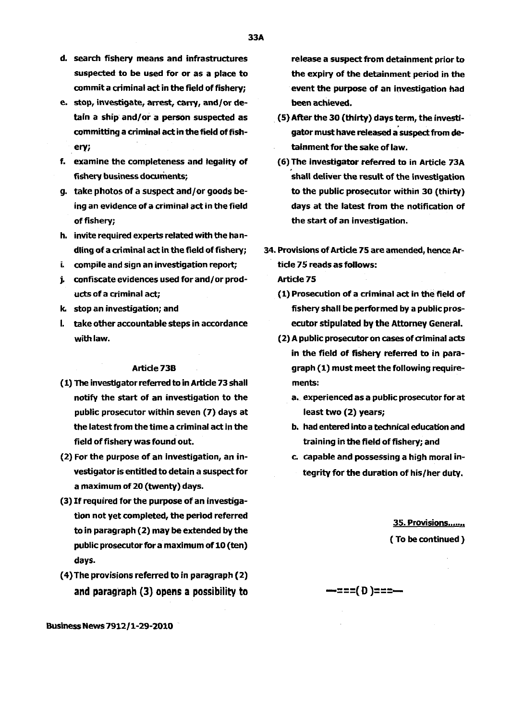- d. search fishery means and infrastructures suspected to be used for or as a place to commit a criminal act in the field of fishery;
- e. stop, investigate, arrest, carry, and/or detain a ship and/or a person suspected as committing a criminal act in the field of fishery;
- f. examine the completeness and legality of fishery business documents;
- g. take photos of a suspect and/or goods being an evidence of a criminal act in the field of fishery;
- h. invite required experts related with the handling of a criminal act in the field of fishery;
- i. compile and sign an investigation report;
- j. confiscate evidences used for and/ or products of a criminal act;
- k. stop an investigation; and
- I. take other accountable steps in accordance with law.

#### Article 73B

- (1) The investigator referred to in Article 73 shall notify the start of an investigation to the public prosecutor within seven (7) days at the latest from the time a criminal act in the field of fishery was found out.
- (2) For the purpose of an investigation, an investigator is entitled to detain a suspect for a maximum of 20 (twenty) days.
- (3) If required for the purpose of an investigation not yet completed, the period referred to in paragraph (2) may be extended by the public prosecutor for a maximum of 10 (ten) days.
- ( 4) The provisions referred to in paragraph (2) and paragraph (3) opens a possibility to

Business News 7912/1-29-2010

release a suspect from detainment prior to the expiry of the detainment period in the event the purpose of an investigation had been achieved.

- . (5) After the 30 (thirty) days term, the investigator must have released a suspect from detainment for the sake of law.
- (6) The investigator referred to in Article 73A shall deliver the result of the investigation to the public prosecutor within 30 (thirty) days at the latest from the notification of the start of an investigation.
- 34. Provisions of Article 75 are amended, hence Article 75 reads as follows:

Article75

- (1) Prosecution of a criminal act in the field of fishery shall be performed by a public prosecutor stipulated by the Attorney General.
- (2) A public prosecutor on cases of aiminal acts in the field of fishery referred to in paragraph (1) must meet the following requirements:
	- a. experienced as a public prosecutor for at least two (2) years;
	- b. had entered into a technical education and training in the field of fishery; and
	- c. capable and possessing a high moral integrity for the duration of his/her duty.

35. Provisions...... ( To be continued )

# —===( D )===—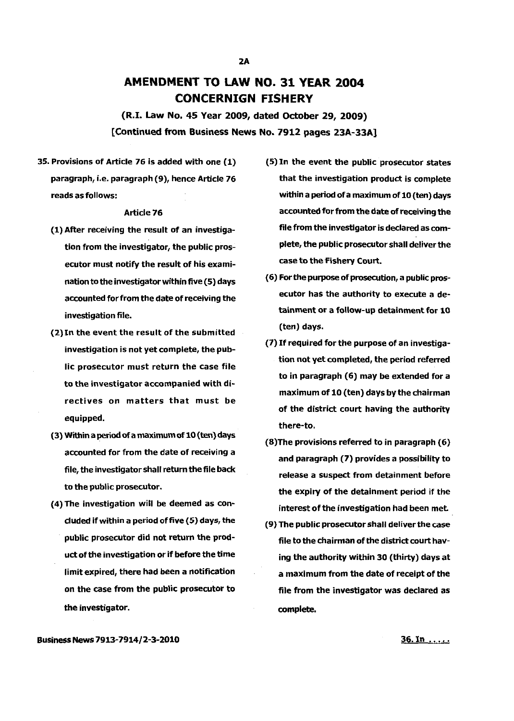# **AMENDMENT TO LAW NO. 31 YEAR 2004 CONCERNIGN FISHERY**

(R.I. Law No. 45 Year 2009, dated October 29, 2009} [Continued from Business News No. 7912 pages 23A-33A]

35. Provisions of Article 76 is added with one (1) paragraph, i.e. paragraph (9), hence Article 76 reads as follows:

### Article 76

- (1) After receiving the result of an investigation from the investigator, the public prosecutor must notify the result of his examination to the investigator within five (5) days accounted for from the date of receiving the investigation file.
- (2)ln the event the result of the submitted investigation is not yet complete, the public prosecutor must return the case file to the investigator accompanied with directives on matters that must be equipped.
- (3) Within a period Of a maximum of 10 {ten} days accounted for from the date of receiving a file, the investigator shall return the file back to the public prosecutor.
- (4) The investigation will be deemed as concluded if within a period of five (5) days, the public prosecutor did not return the product of the investigation or if before the time limit expired, there had been a notification on the case from the public prosecutor to the investigator.
- (5) In the event the public prosecutor states that the investigation product is complete within a period of a maximum of 10 (ten) days accounted for from the date of receiving the file from the investigator is declared as complete, the public prosecutor shall deliver the case to the Fishery Court.
- (6) For the purpose of prosecution, a public prosecutor has the authority to execute a detainment or a follow-up detainment for 10 (ten) days.
- (7} If required for the purpose of an investigation not yet completed, the period referred to in paragraph (6) may be extended for a maximum of 10 (ten} days by the chairman of the district court having the authority there-to.
- (8)The provisions referred to in paragraph (6) and paragraph (7) provides a possibility to release a suspect from detainment before the expiry of the detainment period if the interest of the investigation had been met.
- (9) The public prosecutor shall deliver the case file to the chairman of the district court having the authority within 30 (thirty) days at a maximum from the date of receipt of the file from the investigator was declared as complete.

Business News 7913-7914/2-3-2010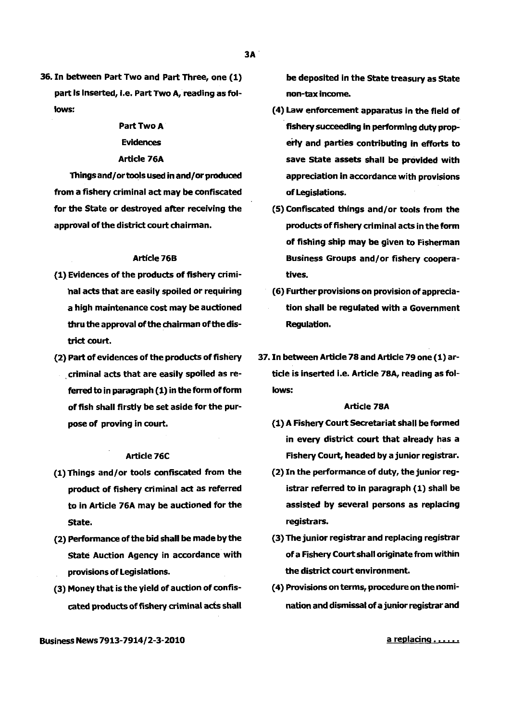36. In between Part Two and Part Three, one (1) part is inserted, i.e. Part Two A, reading as follows:

# Part Two A

## Evidences

#### Article 76A

Things and/ or tools used in and/or produced from a fishery criminal act may be confiscated for the State or destroyed after receiving the approval of the district court chairman.

#### **Article 76B**

- (1) Evidences of the products of fishery criminal acts that are easily spoiled or requiring a high maintenance cost may be auctioned thru the approval of the chairman of the district court.
- (2) Part of evidences of the products of fishery . criminal acts that are easily spoiled as referred to in paragraph (1) in the form of form of fish shall firstly be set aside for the purpose of proving in court.

# Article 76C

- (1) Things and/or tools confiscated from the product of fishery criminal act as referred to in Article 76A may be auctioned for the State;
- (2) Performance of the bid shall be made by the State Auction Agency in accordance with provisions of Legislations.
- (3) Money that is the yield of auction of confiscated products of fishery criminal acts shall

be deposited in the State treasury as State non-tax Income.

- (4) Law enforcement apparatus in the field of fishery succeeding in performing duty properly and parties contributing in efforts to save State assets shall be provided with appreciation in accordance with provisions of Legislations.
- (5) Confiscated things and/or tools from the products of fishery criminal acts in the form of fishing ship may be given to Fisherman Business Groups and/or fishery cooperatives.
- (6) Further provisions on provision of appreciation shall be regulated with a Government Regulation.
- 37. In between Article 78 and Article 79 one (1) article is inserted i.e. Article 78A, reading as follows:

#### Article 78A

- (1) A Fishery Court Secretariat shall be formed in every district court that already has a Fishery Court, headed by a junior registrar.
- (2) In the performance of duty, the junior registrar referred to in paragraph (1) shall be assisted by several persons as replacing registrars.
- (3) The junior registrar and replacing registrar of a Fishery Court shall originate from within the district court environment.
- ( 4) Provisions on terms, procedure on the nomination and dismissal of a junior registrar and

 $a$  replacing  $\ldots$ .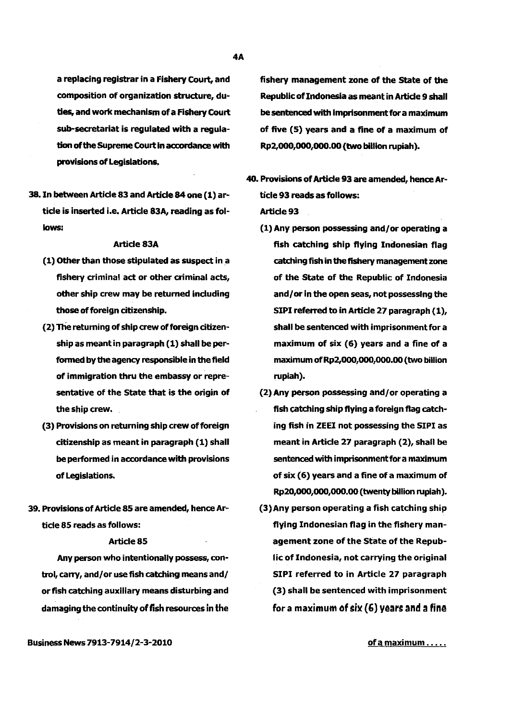a replacing registrar in a Fishery Court, and composition of organization structure, duties, and work mechanism of a Fishery Court sub-secretariat is regulated with a regulation of the Supreme Court in accordance with provisions of Legislations.

38. In between Article 83 and Article 84 one (1) article is inserted i.e. Article 83A, reading as follows:

### Article 83A

- (1) Other than those stipulated as suspect in a fishery criminal act or other criminal acts, other ship crew may be returned including those of foreign citizenship.
- (2) The returning of ship crew of foreign citizenship as meant in paragraph (1) shall be performed by the agency responsible in the field of immigration thru the embassy or representative of the State that is the origin of the ship crew.
- (3) Provisions on returning ship crew of foreign citizenship as meant in paragraph (1) shall be performed in accordance with provisions of Legislations.
- 39. Provisions of Article 85 are amended, hence Article 85 reads as follows:

# Article 85

Any person who intentionally possess, control, carry, and/or use fish catching means and/ or fish catching auxiliary means disturbing and damaging the continuity of fish resources in the

BusinessNews7913-7914/2-3-2010

fishery management zone of the State of the Republic of Indonesia as meant in Article 9 shall be sentenced with Imprisonment for a maximum of five (5) years and a fine of a maximum of Rp2,000,ooo,ooo.oo (two billion rupiah).

- 40. Provisions of Article 93 are amended, hence Article 93 reads as follows: Article 93
	- (1) Any person possessing and/or operating a fish catching ship flying Indonesian flag catching fish in the fishery management zone of the State of the Republic of Indonesia and/or in the open seas, not possessing the SIPI referred to in Article 27 paragraph (1), shall be sentenced with imprisonment for a maximum of six (6) years and a fine of a maximum of Rp2,000,000,000.00 (two billion rupiah).
	- (2) Any person possessing and/ or operating a fish catching ship flying a foreign flag catching fish in ZEEI not possessing the SIPI as meant in Article 27 paragraph (2), shall be sentenced with imprisonment for a maximum of six (6) years and a fine of a maximum of Rp20,ooo,ooo,ooo.oo (twenty billion rupiah).
	- (3)Any person operating a fish catching ship flying Indonesian flag in the fishery management zone of the State of the Republic of Indonesia, not carrying the original SIPI referred to in Article 27 paragraph (3) shall be sentenced with imprisonment for a maximum of six  $(6)$  years and a fine

of a maximum . . . . .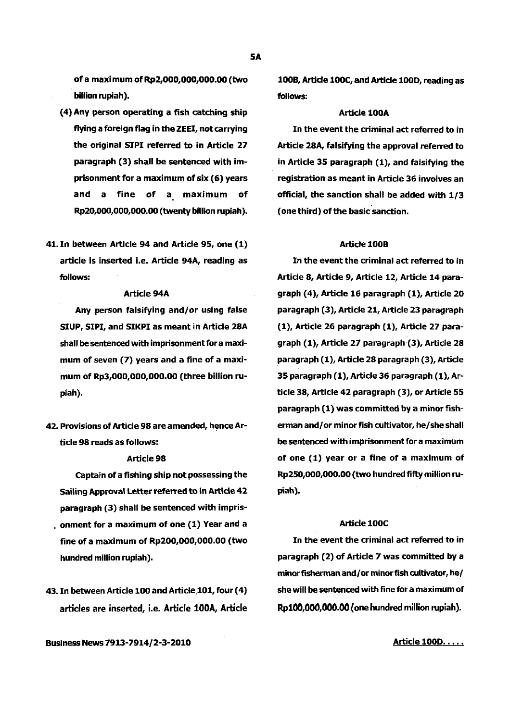of a maxi mum of Rp2,000,000,000.00 (two billion rupiah).

- ( 4) Any person operating a fish catching ship flying a foreign flag in the ZEEI, not carrying the original SIPI referred to in Article 27 paragraph (3) shall be sentenced with imprisonment for a maximum of six (6) years and a fine of a maximum of Rp20,000,000,000.00 (twenty billion rupiah).
- 41. In between Article 94 and Article 95, one (1) article is inserted i.e. Article 94A, reading as follows:

# Article 94A

Any person falsifying and/or using false SIUP, SIPI, and SIKPI as meant in Article 28A shall be sentenced with imprisonment for a maximum of seven (7) years and a fine of a maximum of Rp3,000,000,000.00 (three billion rupiah).

42. Provisions of Article 98 are amended, hence Article 98 reads as follows:

#### Article 98

Captain of a fishing ship not possessing the Sailing Approval Letter referred to in Article 42 paragraph (3) shall be sentenced with impris- • onment for a maximum of one (1) Year and a fine of a maximum of Rp200,000,000.00 (two hundred million rupiah).

43. In between Article 100 and Article 101, four (4) articles are inserted, i.e. Article 100A, Article

Business News 7913-7914/2-3-2010

1008, Article lOOC, and Article 1000, reading as follows:

#### Article 100A

In the event the criminal act referred to in Article 28A, falsifying the approval referred to in Article 35 paragraph (1), and falsifying the registration as meant in Article 36 involves an official, the sanction shall be added with 1/3 (one third) of the basic sanction.

# Article 1008

In the event the criminal act referred to in Article 8, Article 9, Article 12, Article 14 paragraph (4), Article 16 paragraph (1), Article 20 paragraph (3), Article 21, Article 23 paragraph (1), Article 26 paragraph (1), Article 27 paragraph (1), Article 27 paragraph (3), Article 28 paragraph (1), Article 28 paragraph (3), Article 35 paragraph (1), Article 36 paragraph (1), Article 38, Article 42 paragraph (3), or Article 55 paragraph (1) was committed by a minor fisherman and/ or minor fish cultivator, he/she shall be sentenced with imprisonment for a maximum of one (1) year or a fine of a maximum of Rp250,000,000.00 (two hundred fifty million rupiah).

# Article lOOC

In the event the criminal act referred to in paragraph (2) of Article 7 was committed by a minor fisherman and/ or minor fish cultivator, he/ she will be sentenced with fine for a maximum of Rp100,000,000.00 (one hundred million rupiah).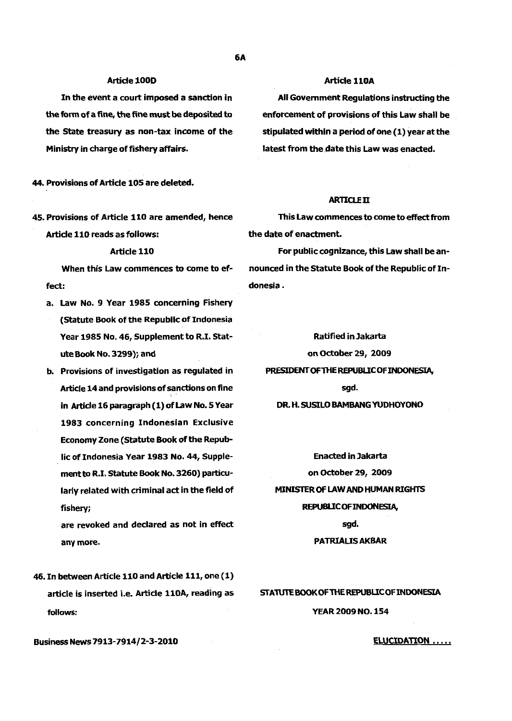#### Article 100D

In the event a court imposed a sanction in the form of a fine, the fine must be deposited to the State treasury as non-tax income of the Ministry in charge of fishery affairs.

44. Provisions of Article 105 are deleted.

45. Provisions of Article 110 are amended, hence Article 110 reads as follows:

#### Article 110

When this Law commences to come to effect:

- a. Law No. 9 Year 1985 concerning Fishery (Statute Book of the Republic of Indonesia Year 1985 No. 46, Supplement to R.I. Statute Book No. 3299); and
- b. Provisions of investigation as regulated in Article 14 and provisions of sanctions on fine in Article 16 paragraph (1) of Law No. 5 Year 1983 concerning Indonesian Exclusive Economy Zone (Statute Book of the Republic of Indonesia Year 1983 No. 44, Supplement to R.I. Statute Book No. 3260) particularly related with criminal act in the field of fishery;

are revoked and declared as not in effect any more.

46. In between Article 110 and Article 111, one ( 1) article is inserted i.e. Article 110A, reading as follows:

Business News 7913-7914/2-3-2010

### Article 110A

All Government Regulations instructing the enforcement of provisions of this Law shall be stipulated within a period of one (1) year at the latest from the date this Law was enacted.

#### ARTICLED

This Law commences to come to effect from the date of enactment.

For public cognizance, this Law shall be announced in the Statute Book of the Republic of Indonesia.

Ratified in Jakarta on October 29, 2009 PRESIDENT OF THE REPUBLIC OF INDONESIA, sgd.

DR. H. SUSILO BAMBANGYUDHOYONO

Enacted in Jakarta on October 29, 2009 MINISTER OF LAW AND HUMAN RIGHTS REPUBLIC OF INDONESIA, sgd.

#### PATRIAUSAKBAR

#### STATUTE BOOK OF THE REPUBLIC OF INDONESIA

#### YEAR 2009 NO. 154

#### ELUCIDATION .....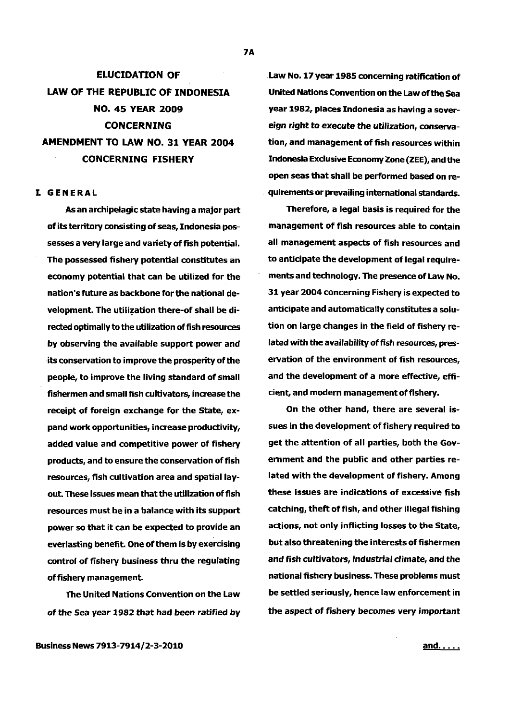# ELUCIDATION OF LAW OF THE REPUBLIC OF INDONESIA NO. 45 YEAR 2009 CONCERNING AMENDMENT TO LAW NO. 31 YEAR 2004 CONCERNING FISHERY

### I. GENERAL

As an archipelagic state having a major part of its territory consisting of seas, Indonesia possesses a very large and variety of fish potential. The possessed fishery potential constitutes an economy potential that can be utilized for the nation's future as backbone for the national development. The utilization there-of shall be directed optimally to the utilization of fish resources by observing the available support power and its conservation to improve the prosperity of the people, to improve the living standard of small fishermen and small fish cultivators, increase the receipt of foreign exchange for the State, expand work opportunities, increase productivity, added value and competitive power of fishery products, and to ensure the conservation of fish resources, fish cultivation area and spatial layout. These issues mean that the utilization of fish resources must be in a balance with its support power so that it can be expected to provide an everlasting benefit. One of them is by exercising control of fishery business thru the regulating of fishery management.

The United Nations Convention on the Law of the Sea year 1982 that had been ratified by

Law No. 17 year 1985 concerning ratification of United Nations Convention on the Law of the Sea year 1982, places Indonesia as having a sovereign right to execute the utilization, conservation, and management of fish resources within Indonesia Exclusive Economy Zone (ZEE), and the open seas that shall be performed based on re- . quirements or prevailing international standards.

Therefore, a legal basis is required for the management of fish resources able to contain all management aspects of fish resources and to anticipate the development of legal requirements and technology. The presence of Law No. 31 year 2004 concerning Fishery is expected to anticipate and automatically constitutes a solution on large changes in the field of fishery related with the availability of fish resources, preservation of the environment of fish resources, and the development of a more effective, efficient, and modern management of fishery.

On the other hand, there are several issues in the development of fishery required to get the attention of all parties, both the Government and the public and other parties related with the development of fishery. Among these issues are indications of excessive fish catching, theft of fish, and other illegal fishing actions, not only inflicting losses to the State, but also threatening the interests of fishermen and fish cultivators, industrial climate, and the national fishery business. These problems must be settled seriously, hence law enforcement in the aspect of fishery becomes very important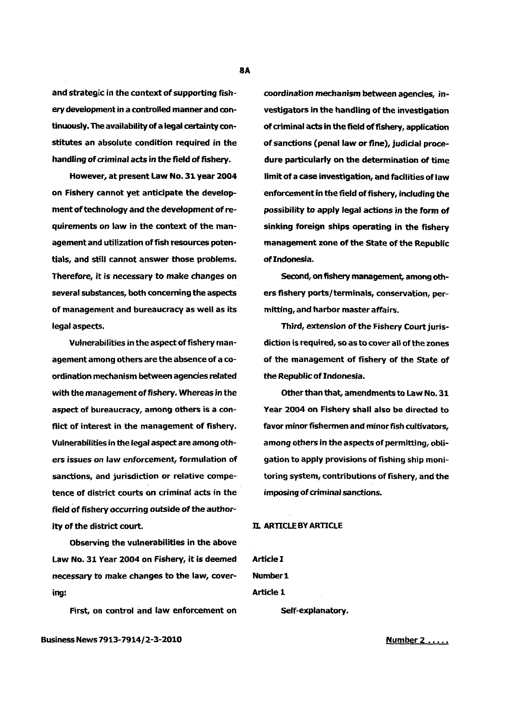and strategic in the context of supporting fishery development in a controlled manner and continuously. The availability of a legal certainty constitutes an absolute condition required in the handling of criminal acts in the field of fishery.

However, at present Law No. 31 year 2004 on Fishery cannot yet anticipate the development of technology and the development of requirements on law in the context of the management and utilization of fish resources potentials, and still cannot answer those problems. Therefore, it is necessary to make changes on several substances, both concerning the aspects of management and bureaucracy as well as its legal aspects.

Vulnerabilities in the aspect of fishery management among others are the absence of a coordination mechanism between agencies related with the management of fishery. Whereas in the aspect of bureaucracy, among others is a conflict of interest in the management of fishery. Vulnerabilities in the legal aspect are among others issues on law enforcement, formulation of sanctions, and jurisdiction or relative competence of district courts on criminal acts in the field of fishery occurring outside of the authority of the district court.

Observing the vulnerabilities in the above Law No. 31 Year 2004 on Fishery, it is deemed necessary to make changes to the law, covering:

First, on control and law enforcement on

coordination mechanism between agencies, investigators in the handling of the investigation of criminal acts in the field of fishery, application of sanctions (penal law or fine), judicial procedure particularly on the determination of time limit of a case investigation, and facilities of law enforcement in the field of fishery, induding the possibility to apply legal actions in the form of sinking foreign ships operating in the fishery management zone of the State of the Republic of Indonesia.

Second, on fishery management, among others fishery ports/terminals, conservation, permitting, and harbor master affairs.

Third, extension of the Fishery Court jurisdiction is required, so as to cover all of the zones of the management of fishery of the State of the Republic of Indonesia.

Other than that, amendments to Law No. 31 Year 2004 on Fishery shall also be directed to favor minor fishermen and minor fish cultivators, among others in the aspects of permitting, obligation to apply provisions of fishing ship monitoring system, contributions of fishery, and the imposing of criminal sanctions.

# D. ARTICLE BY ARTICLE

ArtideI Number<sub>1</sub> Article 1

Self-explanatory.

Business News 7913-7914/2-3-2010

Number 2....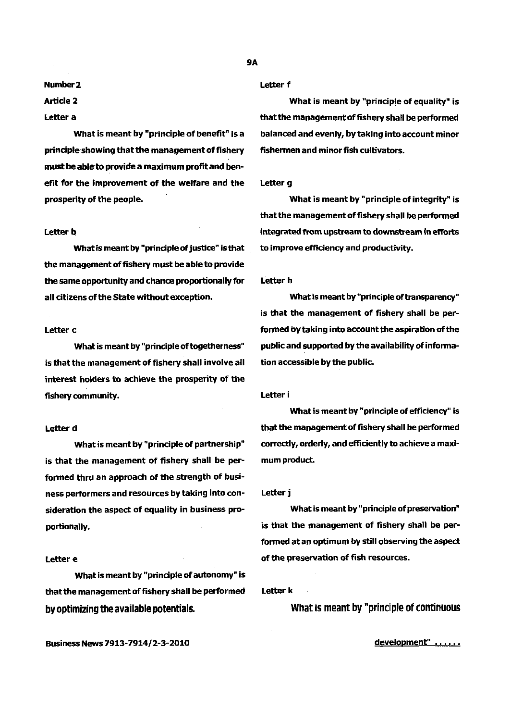#### Number2

# **Article 2**

#### Letter a

What is meant by "principle of benefit" is a principle showing that the management of fishery must be able to provide a maximum profit and benefit for the improvement of the welfare and the prosperity of the people.

#### Letter b

What is meant by "principle of justice" is that the management of fishery must be able to provide the same opportunity and chance proportionally for all citizens of the State without exception.

#### Letter c

What is meant by "principle of togetherness" is that the management of fishery shall involve all interest holders to achieve the prosperity of the fishery community.

#### Letter d

What is meant by "principle of partnership" is that the management of fishery shall be performed thru an approach of the strength of business performers and resources by taking into consideration the aspect of equality in business proportionally.

#### Letter e

What is meant by "principle of autonomy" is that the management of fishery shall be performed by optimizing the available potentials.

Letter f

What is meant by "principle of equality" is that the management of fishery shall be performed balanced and evenly, by taking into account minor fishermen and minor fish cultivators.

#### Letter g

What is meant by "principle of integrity" is that the management of fishery shall be performed integrated from upstream to downstream in efforts to improve efficiency and productivity.

#### Letter h

What is meant by "principle of transparency" is that the management of fishery shall be performed by taking into account the aspiration of the public and supported by the availability of information accessible by the public.

#### Letter i

What is meant by "principle of efficiency" is that the management of fishery shall be performed correctly, orderly, and efficiently to achieve a maximum product.

#### Letter j

What is meant by "principle of preservation" is that the management of fishery shall be performed at an optimum by still observing the aspect of the preservation of fish resources.

Letter k

What is meant by "principle of continuous

development" ......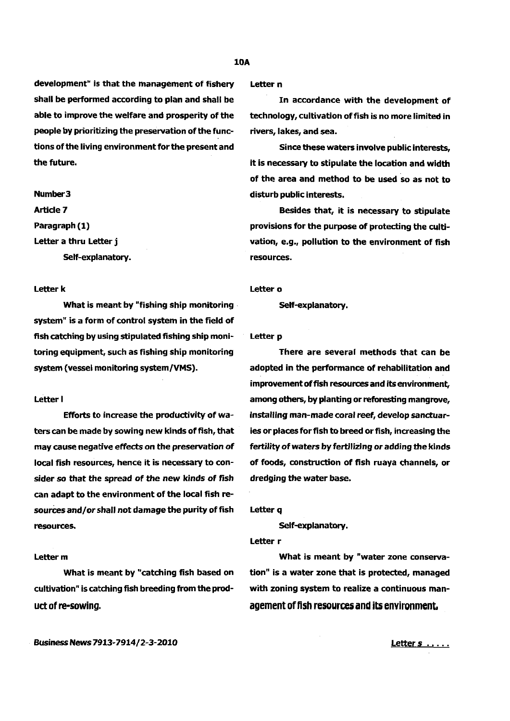# 10A

development" is that the management of fishery shall be performed according to plan and shall be able to improve the welfare and prosperity of the people by prioritizing the preservation of the functions of the living environment for the present and the future.

Self-explanatory. The contract of the second resources.

What is meant by "fishing ship monitoring in Self-explanatory. system" is a form of control system in the field of fish catching by using stipulated fishing ship monitoring equipment, such as fishing ship monitoring system (vessel monitoring system/VMS).

#### Letter I

Efforts to increase the productivity of waters can be made by sowing new kinds of fish, that may cause negative effects on the preservation of local fish resources, hence it is necessary to consider so that the spread of the new kinds of fish can adapt to the environment of the local fish resources and/or shall not damage the purity of fish resources.

# Letter<sub>m</sub>

What is meant by "catching fish based on cultivation" is catching fish breeding from the product of re-sowing.

Letter n

In accordance with the development of technology, cultivation offish is no more limited in rivers, lakes, and sea.

Since these waters involve public interests, it is necessary to stipulate the location and width of the area and method to be used so as not to Number 3 disturb public interests.

Article 7 and 200 and 200 and 200 and 200 and 200 Besides that, it is necessary to stipulate Paragraph (1) **provisions for the purpose of protecting the culti-**Letter a thru Letter j **vation, e.g., pollution to the environment of fish** 

#### Letter k Letter o

Letter p

There are several methods that can be adopted in the performance of rehabilitation and improvement of fish resources and its environment, among others, by planting or reforesting mangrove, installing man-made coral reef, develop sanctuaries or places for fish to breed or fish, increasing the fertility of waters by fertilizing or adding the kinds of foods, construction of fish ruaya channels, or dredging the water base.

Letter q

Self-explanatory.

Letter r

What is meant by "water zone conservation" is a water zone that is protected, managed with zoning system to realize a continuous management of fish resources and its environment.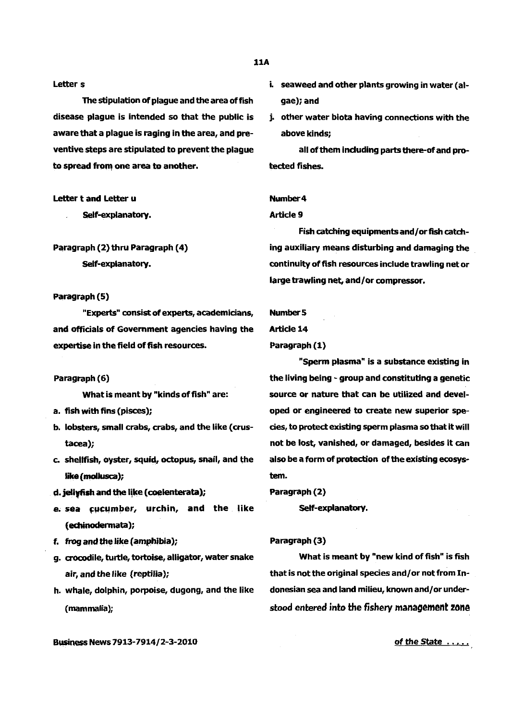#### Letters

The stipulation of plaque and the area of fish disease plague is intended so that the public is aware that a plague is raging in the area, and preventive steps are stipulated to prevent the plague to spread from one area to another.

# Letter t and Letter u

Self-explanatory.

# Paragraph (2) thru Paragraph (4) Self-explanatory.

# Paragraph (5)

'"Experts'" consist of experts, academicians, and officials of Government agencies having the expertise in the field of fish resources.

#### Paragraph (6)

What is meant by "kinds of fish" are:

- a. fish with fins (pisces);
- b. lobsters, small crabs, crabs, and the like ( crustacea);
- c. shellfish, oyster, squid, octopus, snail, and the like(mollusca);
- d. jellyfish and the like (coelenterata);
- e. sea cucumber, urchin, and the like (echinodermata);
- f. frog and the like (amphibia);
- g. crocodile, turtle, tortoise, alligator, water snake air, and the like (reptilia);
- h. whale, dolphin, porpoise, dugong, and the like (mammalia};
- i. seaweed and other plants growing in water (algae); and
- j. other water biota having connections with the above kinds;

all of them induding parts there-Of and protected fishes.

## Number4

### Article 9

Fish catching equipments and/ or fish catching auxiliary means disturbing and damaging the continuity of fish resources include trawling net or large trawling net, and/or compressor.

#### Number 5

# Article 14

# Paragraph (1)

'"Sperm plasma" is a substance existing in the living being - group and constituting a genetic source or nature that can be utilized and developed or engineered to create new superior species, to protect existing sperm plasma so that it will not be lost, vanished, or damaged, besides it can also be a form Of protection of the existing ecosystem.

Paragraph (2)

Self-explanatory.

#### Paragraph (3)

What is meant by "new kind of fish" is fish that is not the original species and/ or not from Indonesian sea and land milieu, known and/or understood entered into the fishery management zone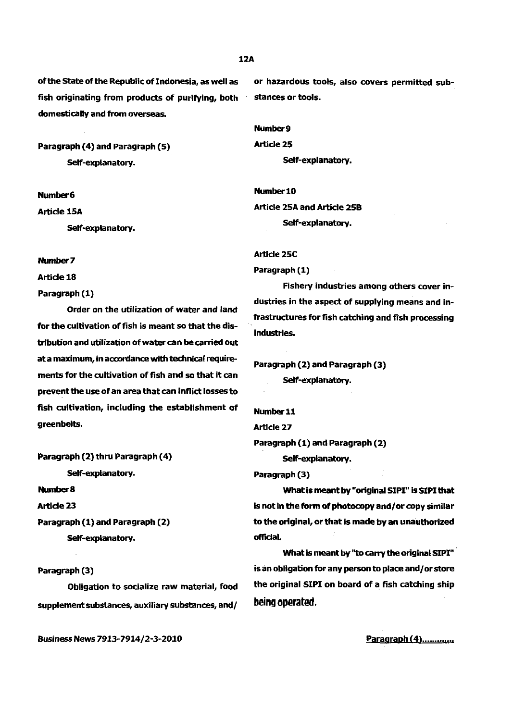of the State of the Republic of Indonesia, as well as fish originating from products of purifying, both domestically and from overseas.

Paragraph (4) and Paragraph (5) Self-explanatory.

Number6

Article 15A

Self-explanatory.

Number 7

Article 18

Paragraph (1)

Order on the utilization of water and land for the cultivation of fish is meant so that the distribution and utilization of water can be carried out at a maximum, in accordance with technical requirements for the cultivation of fish and so that it can prevent the use of an area that can inflict losses to fish cultivation, including the establishment of greenbelts.

Paragraph (2) thru Paragraph ( 4)

Self-explanatory.

Number 8

Article 23

Paragraph (1) and Paragraph (2) Self-explanatory.

Paragraph (3)

Obligation to socialize raw material, food supplement substances, auxiliary substances, and/

Business News 7913-7914/2-3-2010

or hazardous tools, also covers permitted substances or tools.

Number 9

Article<sub>25</sub> Self-explanatory.

Number 10 Article 25A and Article 258 Self-explanatory.

Article 25C

Paragraph (1)

Fishery industries among others cover industries in the aspect of supplying means and in- . frastructures for fish catching and flsh processing industries.

Paragraph (2) and Paragraph (3) Self-explanatory.

Number 11 Article 27 Paragraph (1) and Paragraph (2) Self-explanatory.

Paragraph (3)

What is meant by "original SIPI" is SIPI that is not in the form of photocopy and/or copy similar to the original, or that is made by an unauthorized official.

What is meant by "to carry the original SIPI" · is an obligation for any person to place and/ or store the original SIPI on board of a fish catching ship being operated.

Paragraph (4) .............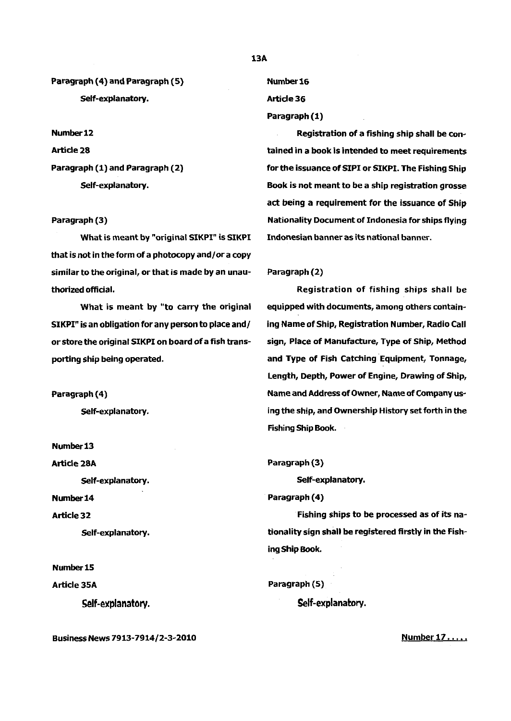Paragraph (4) and Paragraph (5) Self-explanatory.

Number12 Article 28 Paragraph (1) and Paragraph (2) Self-explanatory.

# Paragraph (3)

What is meant by "original SIKPI" is SIKPI that is not in the form of a photocopy and/ or a copy similar to the original, or that is made by an unauthorized official.

What is meant by "to carry the original SIKPI" is an obligation for any person to place and/ or store the original SIKPI on board of a fish transporting ship being operated.

Paragraph (4)

Self-explanatory.

Number13 Article 28A Self-explanatory. Number14 Article 32 Self-explanatory.

Number15 Article 35A self-explanatory.

Business News 7913-7914/2-3-2010

Number 16 Article36

Paragraph (1)

Registration of a fishing ship shall be contained in a book is intended to meet requirements for the issuance of SIPI or SIKPI. The Fishing Ship Book is not meant to be a ship registration grosse act being a requirement for the issuance of Ship Nationality Document of Indonesia for ships flying Indonesian banner as its national banner.

#### Paragraph (2)

Registration of fishing ships shall be equipped with documents, among others containing Name of Ship, Registration Number, Radio Call sign, Place of Manufacture, Type of Ship, Method and Type of Fish Catching Equipment, Tonnage, Length, Depth, Power of Engine, Drawing of Ship, Name and Address of Owner, Name of Company using the ship, and Ownership History set forth in the Fishing Ship Book.

Paragraph (3)

Self-explanatory.

Paragraph (4)

Fishing ships to be processed as of its nationality sign shall be registered firstly in the Fishing Ship Book.

Paragraph (5)

Self-explanatory.

Number 17 .....

#### 13A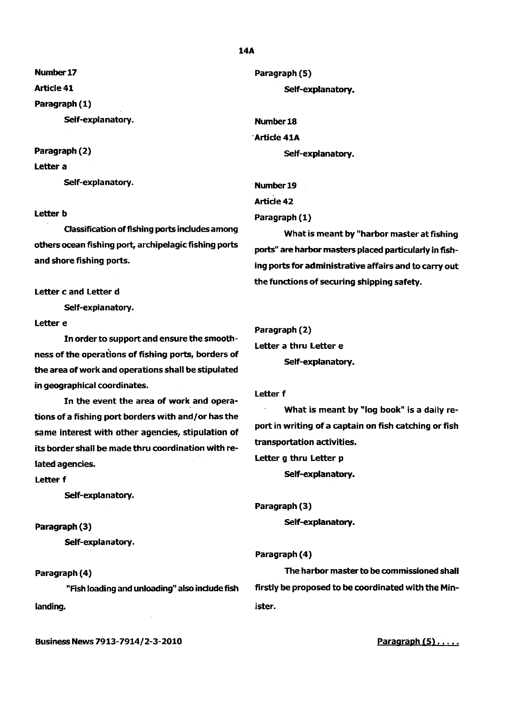Number17

Article 41

Paragraph (1)

Self-explanatory.

# Paragraph (2)

# Letter a

Self-explanatory.

# Letter b

Classification of fishing ports includes among others ocean fishing port, archipelagic fishing ports and shore fishing ports.

Letter c and Letter d

Self-explanatory.

# Letter e

In order to support and ensure the smoothness of the operations of fishing ports, borders of the area of work and operations shall be stipulated in geographical coordinates.

In the event the area of work and operations of a fishing port borders with and/ or has the same interest with other agencies, stipulation of its border shall be made thru coordination with related agencies.

Letter f

Self-explanatory.

# Paragraph (3)

Self-explanatory.

# Paragraph (4)

"Fish loading and unloading" also include fish landing.

Business News 7913-7914/2-3-2010

# Paragraph (5) Self-explanatory.

Number18 ·Article 41A Self-explanatory.

Number19 Article 42 Paragraph (1)

What is meant by "harbor master at fishing ports" are harbor masters placed particularly in fishing ports for administrative affairs and to carry out the functions of securing shipping safety.

```
Paragraph (2) 
Letter a thru Letter e 
       Self-explanatory.
```
# Letter f

What is meant by "log book" is a daily report in writing of a captain on fish catching or fish transportation activities. Letter g thru Letter p

Self-explanatory.

Paragraph (3) Self-explanatory.

# Paragraph (4)

The harbor master to be commissioned shall firstly be proposed to be coordinated with the Minister.

Paragraph  $(5)$ .....

#### 14A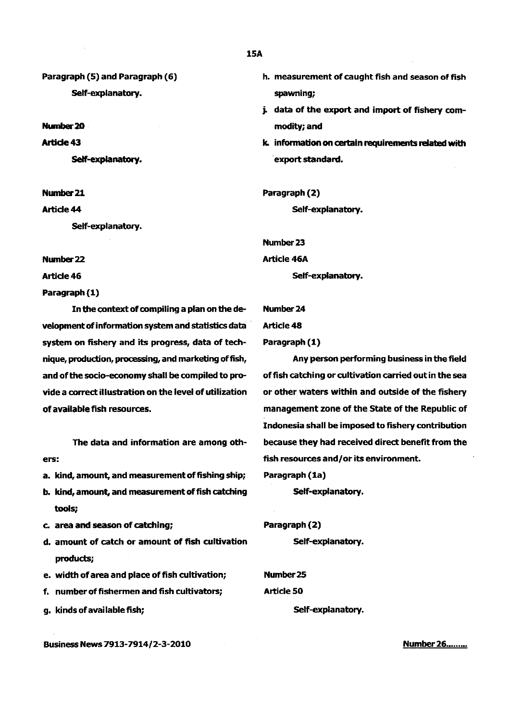Paragraph (5) and Paragraph (6) Self-explanatory.

Number20

Article 43

Self-explanatory.

Nwnber21

Article 44

Self-explanatory.

Number 22

Article 46

Paragraph (1)

In the context of compiling a plan on the de- Number 24 velopment of information system and statistics data **Article 48** system on fishery and its progress, data of tech- Paragraph (1) nique, production, processing, and marketing offish, Any person performing business in the field and of the socio-economy shall be compiled to pro- of fish catching or cultivation carried out in the sea vide a correct illustration on the level of utilization or other waters within and outside of the fishery of available fish resources. management zone of the State of the Republic of

The data and information are among others:

- a. kind, amount, and measurement of fishing ship;
- b. kind, amount, and measurement of fish catching tools;
- c. area and season of catching;
- d. amount of catch or amount of fish cultivation products;
- e. width of area and place of fish cultivation;
- f. number of fishermen and fish cultivators;
- g. kinds of available fish;

Business News 7913-7914/2-3-2010

- h. measurement of caught fish and season of fish spawning;
- j. data of the export and import of fishery commodity; and
- k. information on certain requirements related with export standard.

Paragraph (2)

Self-explanatory.

Number23

Article 46A

Self-explanatory.

Indonesia shall be imposed to fishery contribution because they had received direct benefit from the fish resources and/or its environment.

Paragraph (1a)

Self-explanatory.

Paragraph (2)

Self-explanatory.

Number25 Article SO Self-explanatory.

Number 26........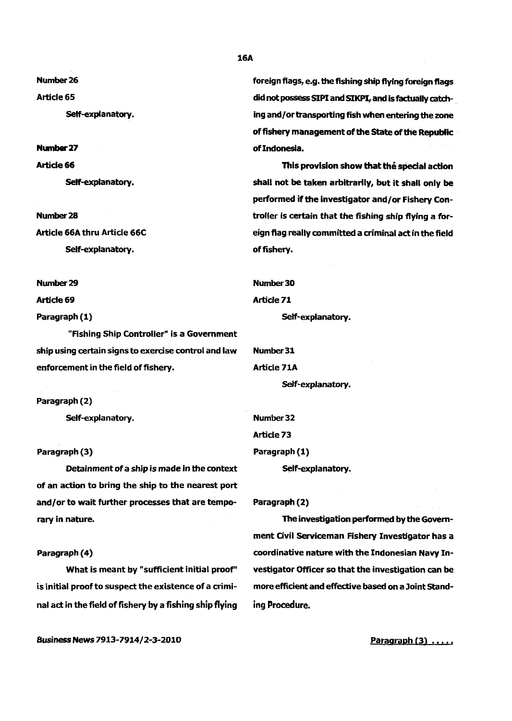Number 26

Article 65

Self-explanatory.

Number27

**Article 66** 

Self-explanatory.

Number28 Article 66A thru Article 66C Self-explanatory.

Number29

Article 69

Paragraph (1)

"Fishing Ship Controller" is a Government ship using certain signs to exercise control and law enforcement in the field of fishery.

Paragraph (2)

Self-explanatory. Number 32

Detainment of a ship is made in the context Self-explanatory. of an action to bring the ship to the nearest port and/or to wait further processes that are temporary in nature.

# Paragraph (4)

What is meant by "sufficient initial proof" is initial proof to suspect the existence of a criminal act in the field of fishery by a fishing ship flying foreign flags, e.g. the fishing ship flying foreign flags did not possess SIPI and SIKPI, and is factually *catch*ing and/ or transporting fish when entering the zone of fishery management of the State of the Republic of Indonesia.

This provision show that the special action shall not be taken arbitrarily, but it shall only be performed if the investigator and/ or Fishery Controller is certain that the fishing ship flying a foreign flag really committed a criminal act in the field of fishery.

Number30 Article 71 Self-explanatory.

Number31 Article 71A Self-explanatory.

Article<sub>73</sub> Paragraph (3) Paragraph (1)

Paragraph (2)

The investigation performed by the Government Civil Serviceman Fishery Investigator has a coordinative nature with the Indonesian Navy Investigator Officer so that the investigation can be more efficient and effective based on a Joint Standing Procedure.

Business News 7913-7914/2-3-2010

Paragraph  $(3)$   $\ldots$ 

16A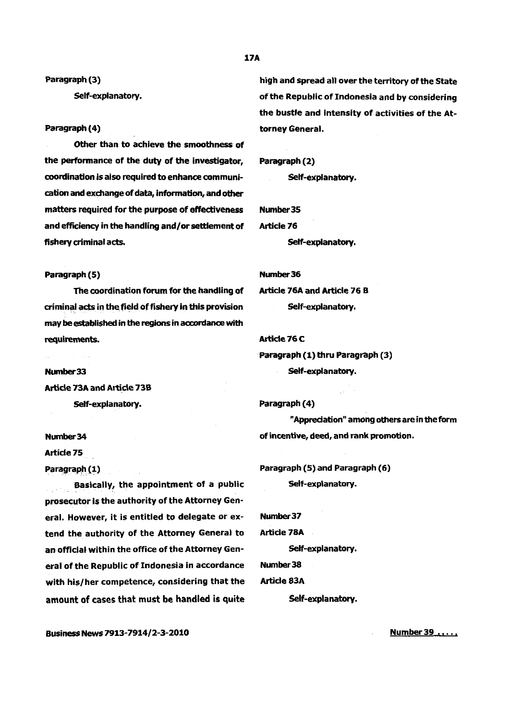17A

Paragraph (3) Self-explanatory.

#### Paragraph (4)

Other than to achieve the smoothness of the performance of the duty of the investigator, coordination is also required to enhance communication and exchange of data, information, and other matters required for the purpose of effectiveness Number 35 and efficiency in the handling and/or settlement of Article 76 fishery criminal acts. The self-explanatory.

# Paragraph (5) Number 36

The coordination forum for the handling of Article 76A and Article 76 B criminal acts in the field of fishery in this provision Self-explanatory. may be established in the regions in accordance with requirements.

Number33 Article 73A and Article 73B Self-explanatory.

Number34

Article 75

Paragraph (1)

Basically, the appointment of a public prosecutor is the authority of the Attorney General. However, it is entitled to delegate or ex- Number37 tend the authority of the Attorney General to Article 78A an official within the office of the Attorney Gen-<br>Self-explanatory. eral of the Republic of Indonesia in accordance Number 38 with his/her competence, considering that the Article 83A amount of cases that must be handled is quite Self-explanatory.

high and spread all over the territory of the State of the Republic of Indonesia and by considering the bustle and intensity of activities of the Attorney General.

# Paragraph (2)

Self-explanatory.

# Article 76C

Paragraph (1) thru Paragraph (3) Self-explanatory.

Paragraph (4)

"Appreciation" among others are in the form of incentive, deed, and rank promotion.

Paragraph (5) and Paragraph (6) Self-explanatory.